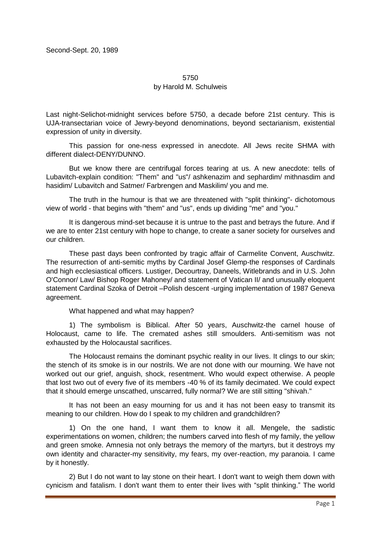## 5750

## by Harold M. Schulweis

Last night-Selichot-midnight services before 5750, a decade before 21st century. This is UJA-transectarian voice of Jewry-beyond denominations, beyond sectarianism, existential expression of unity in diversity.

This passion for one-ness expressed in anecdote. All Jews recite SHMA with different dialect-DENY/DUNNO.

But we know there are centrifugal forces tearing at us. A new anecdote: tells of Lubavitch-explain condition: "Them" and "us"/ ashkenazim and sephardim/ mithnasdim and hasidim/ Lubavitch and Satmer/ Farbrengen and Maskilim/ you and me.

The truth in the humour is that we are threatened with "split thinking"- dichotomous view of world - that begins with "them" and "us", ends up dividing "me" and "you."

It is dangerous mind-set because it is untrue to the past and betrays the future. And if we are to enter 21st century with hope to change, to create a saner society for ourselves and our children.

These past days been confronted by tragic affair of Carmelite Convent, Auschwitz. The resurrection of anti-semitic myths by Cardinal Josef Glemp-the responses of Cardinals and high ecclesiastical officers. Lustiger, Decourtray, Daneels, Witlebrands and in U.S. John O'Connor/ Law/ Bishop Roger Mahoney/ and statement of Vatican II/ and unusually eloquent statement Cardinal Szoka of Detroit –Polish descent -urging implementation of 1987 Geneva agreement.

What happened and what may happen?

1) The symbolism is Biblical. After 50 years, Auschwitz-the carnel house of Holocaust, came to life. The cremated ashes still smoulders. Anti-semitism was not exhausted by the Holocaustal sacrifices.

The Holocaust remains the dominant psychic reality in our lives. It clings to our skin; the stench of its smoke is in our nostrils. We are not done with our mourning. We have not worked out our grief, anguish, shock, resentment. Who would expect otherwise. A people that lost two out of every five of its members -40 % of its family decimated. We could expect that it should emerge unscathed, unscarred, fully normal? We are still sitting "shivah."

It has not been an easy mourning for us and it has not been easy to transmit its meaning to our children. How do I speak to my children and grandchildren?

1) On the one hand, I want them to know it all. Mengele, the sadistic experimentations on women, children; the numbers carved into flesh of my family, the yellow and green smoke. Amnesia not only betrays the memory of the martyrs, but it destroys my own identity and character-my sensitivity, my fears, my over-reaction, my paranoia. I came by it honestly.

2) But I do not want to lay stone on their heart. I don't want to weigh them down with cynicism and fatalism. I don't want them to enter their lives with "split thinking." The world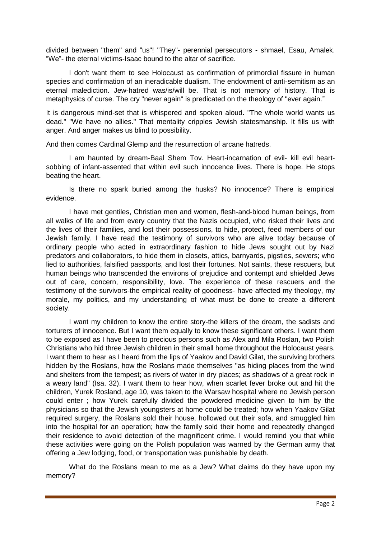divided between "them" and "us"! "They"- perennial persecutors - shmael, Esau, Amalek. "We"- the eternal victims-Isaac bound to the altar of sacrifice.

I don't want them to see Holocaust as confirmation of primordial fissure in human species and confirmation of an ineradicable dualism. The endowment of anti-semitism as an eternal malediction. Jew-hatred was/is/will be. That is not memory of history. That is metaphysics of curse. The cry "never again" is predicated on the theology of "ever again."

It is dangerous mind-set that is whispered and spoken aloud. "The whole world wants us dead." "We have no allies." That mentality cripples Jewish statesmanship. It fills us with anger. And anger makes us blind to possibility.

And then comes Cardinal Glemp and the resurrection of arcane hatreds.

I am haunted by dream-Baal Shem Tov. Heart-incarnation of evil- kill evil heartsobbing of infant-assented that within evil such innocence lives. There is hope. He stops beating the heart.

Is there no spark buried among the husks? No innocence? There is empirical evidence.

I have met gentiles, Christian men and women, flesh-and-blood human beings, from all walks of life and from every country that the Nazis occupied, who risked their lives and the lives of their families, and lost their possessions, to hide, protect, feed members of our Jewish family. I have read the testimony of survivors who are alive today because of ordinary people who acted in extraordinary fashion to hide Jews sought out by Nazi predators and collaborators, to hide them in closets, attics, barnyards, pigsties, sewers; who lied to authorities, falsified passports, and lost their fortunes. Not saints, these rescuers, but human beings who transcended the environs of prejudice and contempt and shielded Jews out of care, concern, responsibility, love. The experience of these rescuers and the testimony of the survivors-the empirical reality of goodness- have affected my theology, my morale, my politics, and my understanding of what must be done to create a different society.

I want my children to know the entire story-the killers of the dream, the sadists and torturers of innocence. But I want them equally to know these significant others. I want them to be exposed as I have been to precious persons such as Alex and Mila Roslan, two Polish Christians who hid three Jewish children in their small home throughout the Holocaust years. I want them to hear as I heard from the lips of Yaakov and David Gilat, the surviving brothers hidden by the Roslans, how the Roslans made themselves "as hiding places from the wind and shelters from the tempest; as rivers of water in dry places; as shadows of a great rock in a weary land" (Isa. 32). I want them to hear how, when scarlet fever broke out and hit the children, Yurek Rosland, age 10, was taken to the Warsaw hospital where no Jewish person could enter ; how Yurek carefully divided the powdered medicine given to him by the physicians so that the Jewish youngsters at home could be treated; how when Yaakov Gilat required surgery, the Roslans sold their house, hollowed out their sofa, and smuggled him into the hospital for an operation; how the family sold their home and repeatedly changed their residence to avoid detection of the magnificent crime. I would remind you that while these activities were going on the Polish population was warned by the German army that offering a Jew lodging, food, or transportation was punishable by death.

What do the Roslans mean to me as a Jew? What claims do they have upon my memory?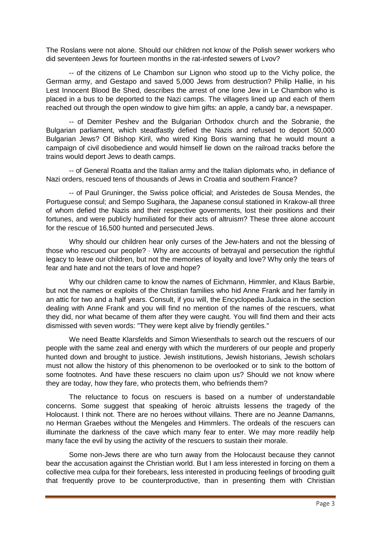The Roslans were not alone. Should our children not know of the Polish sewer workers who did seventeen Jews for fourteen months in the rat-infested sewers of Lvov?

-- of the citizens of Le Chambon sur Lignon who stood up to the Vichy police, the German army, and Gestapo and saved 5,000 Jews from destruction? Philip Hallie, in his Lest Innocent Blood Be Shed, describes the arrest of one lone Jew in Le Chambon who is placed in a bus to be deported to the Nazi camps. The villagers lined up and each of them reached out through the open window to give him gifts: an apple, a candy bar, a newspaper.

-- of Demiter Peshev and the Bulgarian Orthodox church and the Sobranie, the Bulgarian parliament, which steadfastly defied the Nazis and refused to deport 50,000 Bulgarian Jews? Of Bishop Kiril, who wired King Boris warning that he would mount a campaign of civil disobedience and would himself lie down on the railroad tracks before the trains would deport Jews to death camps.

-- of General Roatta and the Italian army and the Italian diplomats who, in defiance of Nazi orders, rescued tens of thousands of Jews in Croatia and southern France?

-- of Paul Gruninger, the Swiss police official; and Aristedes de Sousa Mendes, the Portuguese consul; and Sempo Sugihara, the Japanese consul stationed in Krakow-all three of whom defied the Nazis and their respective governments, lost their positions and their fortunes, and were publicly humiliated for their acts of altruism? These three alone account for the rescue of 16,500 hunted and persecuted Jews.

Why should our children hear only curses of the Jew-haters and not the blessing of those who rescued our people? · Why are accounts of betrayal and persecution the rightful legacy to leave our children, but not the memories of loyalty and love? Why only the tears of fear and hate and not the tears of love and hope?

Why our children came to know the names of Eichmann, Himmler, and Klaus Barbie, but not the names or exploits of the Christian families who hid Anne Frank and her family in an attic for two and a half years. Consult, if you will, the Encyclopedia Judaica in the section dealing with Anne Frank and you will find no mention of the names of the rescuers, what they did, nor what became of them after they were caught. You will find them and their acts dismissed with seven words: "They were kept alive by friendly gentiles."

We need Beatte Klarsfelds and Simon Wiesenthals to search out the rescuers of our people with the same zeal and energy with which the murderers of our people and properly hunted down and brought to justice. Jewish institutions, Jewish historians, Jewish scholars must not allow the history of this phenomenon to be overlooked or to sink to the bottom of some footnotes. And have these rescuers no claim upon us? Should we not know where they are today, how they fare, who protects them, who befriends them?

The reluctance to focus on rescuers is based on a number of understandable concerns. Some suggest that speaking of heroic altruists lessens the tragedy of the Holocaust. I think not. There are no heroes without villains. There are no Jeanne Damanns, no Herman Graebes without the Mengeles and Himmlers. The ordeals of the rescuers can illuminate the darkness of the cave which many fear to enter. We may more readily help many face the evil by using the activity of the rescuers to sustain their morale.

Some non-Jews there are who turn away from the Holocaust because they cannot bear the accusation against the Christian world. But I am less interested in forcing on them a collective mea culpa for their forebears, less interested in producing feelings of brooding guilt that frequently prove to be counterproductive, than in presenting them with Christian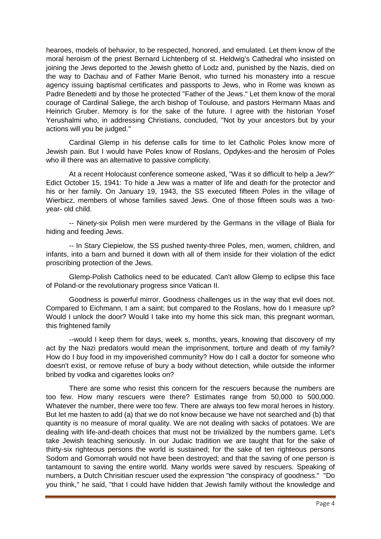hearoes, models of behavior, to be respected, honored, and emulated. Let them know of the moral heroism of the priest Bernard Lichtenberg of st. Heldwig's Cathedral who insisted on joining the Jews deported to the Jewish ghetto of Lodz and, punished by the Nazis, died on the way to Dachau and of Father Marie Benoit, who turned his monastery into a rescue agency issuing baptismal certificates and passports to Jews, who in Rome was known as Padre Benedetti and by those he protected "Father of the Jews." Let them know of the moral courage of Cardinal Saliege, the arch bishop of Toulouse, and pastors Hermann Maas and Heinrich Gruber. Memory is for the sake of the future. I agree with the historian Yosef Yerushalmi who, in addressing Christians, concluded, "Not by your ancestors but by your actions will you be judged."

Cardinal Glemp in his defense calls for time to let Catholic Poles know more of Jewish pain. But I would have Poles know of Roslans, Opdykes-and the herosim of Poles who ill there was an alternative to passive complicity.

At a recent Holocaust conference someone asked, "Was it so difficult to help a Jew?" Edict October 15, 1941: To hide a Jew was a matter of life and death for the protector and his or her family. On January 19, 1943, the SS executed fifteen Poles in the village of Wierbicz, members of whose families saved Jews. One of those fifteen souls was a twoyear- old child.

-- Ninety-six Polish men were murdered by the Germans in the village of Biala for hiding and feeding Jews.

-- In Stary Ciepielow, the SS pushed twenty-three Poles, men, women, children, and infants, into a barn and burned it down with all of them inside for their violation of the edict proscribing protection of the Jews.

Glemp-Polish Catholics need to be educated. Can't allow Glemp to eclipse this face of Poland-or the revolutionary progress since Vatican II.

Goodness is powerful mirror. Goodness challenges us in the way that evil does not. Compared to Eichmann, I am a saint; but compared to the Roslans, how do I measure up? Would I unlock the door? Would I take into my home this sick man, this pregnant worman, this frightened family

--would I keep them for days, week s, months, years, knowing that discovery of my act by the Nazi predators would mean the imprisonment, torture and death of my family? How do I buy food in my impoverished community? How do I call a doctor for someone who doesn't exist, or remove refuse of bury a body without detection, while outside the informer bribed by vodka and cigarettes looks on?

There are some who resist this concern for the rescuers because the numbers are too few. How many rescuers were there? Estimates range from 50,000 to 500,000. Whatever the number, there were too few. There are always too few moral heroes in history. But let me hasten to add (a) that we do not know because we have not searched and (b) that quantity is no measure of moral quality. We are not dealing with sacks of potatoes. We are dealing with life-and-death choices that must not be trivialized by the numbers game. Let's take Jewish teaching seriously. In our Judaic tradition we are taught that for the sake of thirty-six righteous persons the world is sustained; for the sake of ten righteous persons Sodom and Gomorrah would not have been destroyed; and that the saving of one person is tantamount to saving the entire world. Many worlds were saved by rescuers. Speaking of numbers, a Dutch Chrisitian rescuer used the expression "the conspiracy of goodness." "Do you think," he said, "that I could have hidden that Jewish family without the knowledge and